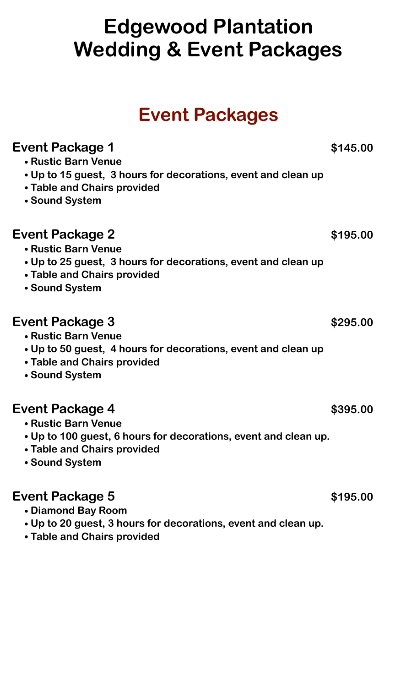# **Edgewood Plantation Wedding & Event Packages**

## **Event Packages**

| <b>Event Package 1</b><br>• Rustic Barn Venue<br>• Up to 15 guest, 3 hours for decorations, event and clean up<br>• Table and Chairs provided<br>• Sound System | \$145.00 |
|-----------------------------------------------------------------------------------------------------------------------------------------------------------------|----------|
| Event Package 2<br>• Rustic Barn Venue<br>• Up to 25 guest, 3 hours for decorations, event and clean up<br>• Table and Chairs provided<br>• Sound System        | \$195.00 |
| Event Package 3<br>• Rustic Barn Venue<br>• Up to 50 guest, 4 hours for decorations, event and clean up<br>• Table and Chairs provided<br>• Sound System        | \$295.00 |
| Event Package 4<br>• Rustic Barn Venue<br>• Up to 100 guest, 6 hours for decorations, event and clean up.<br><b>Table and Chairs provided</b><br>• Sound System | \$395.00 |
| Event Package 5<br>Diamond Roy Poom                                                                                                                             | \$195.00 |

- **• Diamond Bay Room**
- **• Up to 20 guest, 3 hours for decorations, event and clean up.**
- **• Table and Chairs provided**